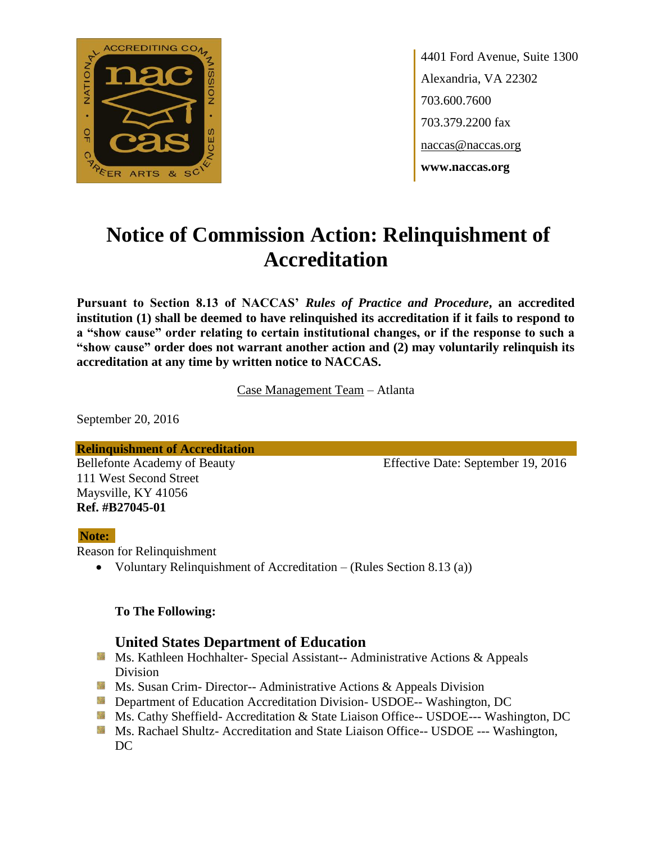

4401 Ford Avenue, Suite 1300 Alexandria, VA 22302 703.600.7600 703.379.2200 fax naccas@naccas.org **www.naccas.org**

# **Notice of Commission Action: Relinquishment of Accreditation**

**Pursuant to Section 8.13 of NACCAS'** *Rules of Practice and Procedure***, an accredited institution (1) shall be deemed to have relinquished its accreditation if it fails to respond to a "show cause" order relating to certain institutional changes, or if the response to such a "show cause" order does not warrant another action and (2) may voluntarily relinquish its accreditation at any time by written notice to NACCAS.**

Case Management Team – Atlanta

September 20, 2016

**Relinquishment of Accreditation**

111 West Second Street Maysville, KY 41056 **Ref. #B27045-01**

Bellefonte Academy of Beauty Effective Date: September 19, 2016

### **Note:**

Reason for Relinquishment

Voluntary Relinquishment of Accreditation – (Rules Section 8.13 (a))

### **To The Following:**

## **United States Department of Education**

- **Ms. Kathleen Hochhalter- Special Assistant-- Administrative Actions & Appeals** Division
- **Ms. Susan Crim- Director-- Administrative Actions & Appeals Division**
- **Department of Education Accreditation Division- USDOE-- Washington, DC**
- Ms. Cathy Sheffield- Accreditation & State Liaison Office-- USDOE--- Washington, DC
- **MS. Rachael Shultz- Accreditation and State Liaison Office-- USDOE --- Washington,** DC